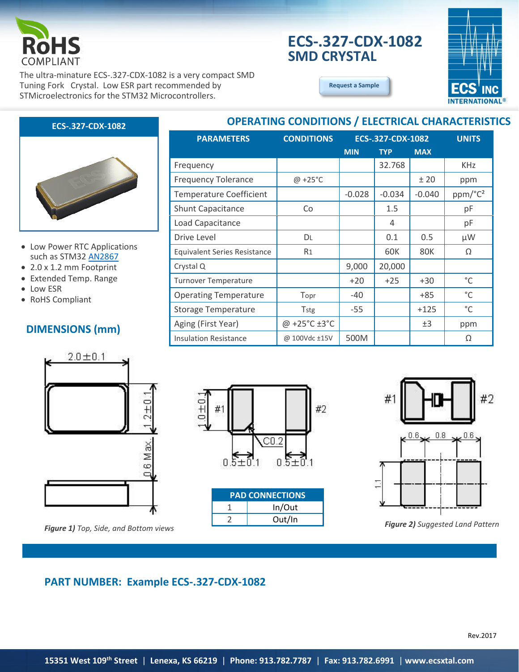

# **ECS-.327-CDX-1082 SMD CRYSTAL**



The ultra-minature ECS-.327-CDX-1082 is a very compact SMD Tuning Fork Crystal. Low ESR part recommended by STMicroelectronics for the STM32 Microcontrollers.

### **[Request a Sample](http://ecsxtalportal.com/samplepilot/samplerequest.php)**

### **ECS-.327-CDX-1082**



- Low Power RTC Applications such as STM32 [AN2867](http://www.st.com/content/ccc/resource/technical/document/application_note/c6/eb/5e/11/e3/69/43/eb/CD00221665.pdf/files/CD00221665.pdf/jcr:content/translations/en.CD00221665.pdf)
- 2.0 x 1.2 mm Footprint
- Extended Temp. Range
- Low ESR
- RoHS Compliant

### **DIMENSIONS (mm)**



*Figure 2) Suggested Land Pattern Figure 1) Top, Side, and Bottom views*

| <b>OPERATING CONDITIONS / ELECTRICAL CHARACTERISTICS</b> |                   |                   |            |            |                     |  |
|----------------------------------------------------------|-------------------|-------------------|------------|------------|---------------------|--|
| <b>PARAMETERS</b>                                        | <b>CONDITIONS</b> | ECS-.327-CDX-1082 |            |            | <b>UNITS</b>        |  |
|                                                          |                   | <b>MIN</b>        | <b>TYP</b> | <b>MAX</b> |                     |  |
| Frequency                                                |                   |                   | 32.768     |            | <b>KHz</b>          |  |
| <b>Frequency Tolerance</b>                               | $@ + 25°C$        |                   |            | ±20        | ppm                 |  |
| <b>Temperature Coefficient</b>                           |                   | $-0.028$          | $-0.034$   | $-0.040$   | ppm/°C <sup>2</sup> |  |
| Shunt Capacitance                                        | Co                |                   | 1.5        |            | pF                  |  |
| Load Capacitance                                         |                   |                   | 4          |            | pF                  |  |
| Drive Level                                              | <b>DL</b>         |                   | 0.1        | 0.5        | μW                  |  |
| <b>Equivalent Series Resistance</b>                      | R <sub>1</sub>    |                   | 60K        | <b>80K</b> | Ω                   |  |
| Crystal Q                                                |                   | 9,000             | 20,000     |            |                     |  |
| Turnover Temperature                                     |                   | $+20$             | $+25$      | $+30$      | $^{\circ}$ C        |  |
| <b>Operating Temperature</b>                             | Topr              | -40               |            | $+85$      | $^{\circ}$ C        |  |
| <b>Storage Temperature</b>                               | <b>Tstg</b>       | $-55$             |            | $+125$     | $^{\circ}$ C        |  |
| Aging (First Year)                                       | @ +25°C ±3°C      |                   |            | ±3         | ppm                 |  |
| <b>Insulation Resistance</b>                             | @ 100Vdc ±15V     | 500M              |            |            | Ω                   |  |



| <b>PAD CONNECTIONS</b> |        |  |  |
|------------------------|--------|--|--|
|                        | In/Out |  |  |
|                        | Out/In |  |  |



# **PART NUMBER: Example ECS-.327-CDX-1082**